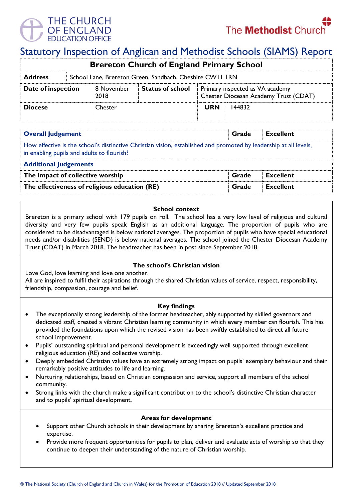

# Statutory Inspection of Anglican and Methodist Schools (SIAMS) Report

| <b>Brereton Church of England Primary School</b> |                                                          |                    |                         |                                                                          |        |  |  |
|--------------------------------------------------|----------------------------------------------------------|--------------------|-------------------------|--------------------------------------------------------------------------|--------|--|--|
| <b>Address</b>                                   | School Lane, Brereton Green, Sandbach, Cheshire CW11 IRN |                    |                         |                                                                          |        |  |  |
| Date of inspection                               |                                                          | 8 November<br>2018 | <b>Status of school</b> | Primary inspected as VA academy<br>Chester Diocesan Academy Trust (CDAT) |        |  |  |
| <b>Diocese</b>                                   |                                                          | <b>Chester</b>     |                         | <b>URN</b>                                                               | 144832 |  |  |

| <b>Overall Judgement</b>                                                                                                                                        | Grade | <b>Excellent</b> |  |  |  |  |
|-----------------------------------------------------------------------------------------------------------------------------------------------------------------|-------|------------------|--|--|--|--|
| How effective is the school's distinctive Christian vision, established and promoted by leadership at all levels,<br>in enabling pupils and adults to flourish? |       |                  |  |  |  |  |
| <b>Additional Judgements</b>                                                                                                                                    |       |                  |  |  |  |  |
| The impact of collective worship                                                                                                                                | Grade | <b>Excellent</b> |  |  |  |  |
| The effectiveness of religious education (RE)                                                                                                                   | Grade | <b>Excellent</b> |  |  |  |  |

#### **School context**

Brereton is a primary school with 179 pupils on roll. The school has a very low level of religious and cultural diversity and very few pupils speak English as an additional language. The proportion of pupils who are considered to be disadvantaged is below national averages. The proportion of pupils who have special educational needs and/or disabilities (SEND) is below national averages. The school joined the Chester Diocesan Academy Trust (CDAT) in March 2018. The headteacher has been in post since September 2018.

## **The school's Christian vision**

Love God, love learning and love one another.

All are inspired to fulfil their aspirations through the shared Christian values of service, respect, responsibility, friendship, compassion, courage and belief.

## **Key findings**

- The exceptionally strong leadership of the former headteacher, ably supported by skilled governors and dedicated staff, created a vibrant Christian learning community in which every member can flourish. This has provided the foundations upon which the revised vision has been swiftly established to direct all future school improvement.
- Pupils' outstanding spiritual and personal development is exceedingly well supported through excellent religious education (RE) and collective worship.
- Deeply embedded Christian values have an extremely strong impact on pupils' exemplary behaviour and their remarkably positive attitudes to life and learning.
- Nurturing relationships, based on Christian compassion and service, support all members of the school community.
- Strong links with the church make a significant contribution to the school's distinctive Christian character and to pupils' spiritual development.

## **Areas for development**

- Support other Church schools in their development by sharing Brereton's excellent practice and expertise.
- Provide more frequent opportunities for pupils to plan, deliver and evaluate acts of worship so that they continue to deepen their understanding of the nature of Christian worship.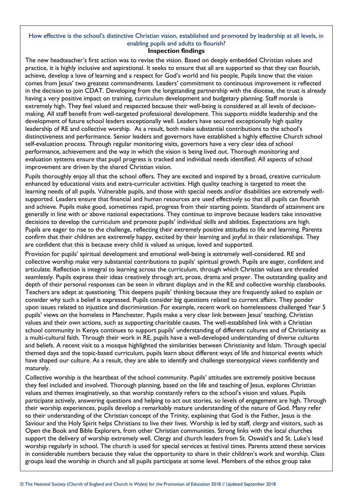## How effective is the school's distinctive Christian vision, established and promoted by leadership at all levels, in enabling pupils and adults to flourish?

#### **Inspection findings**

The new headteacher's first action was to revise the vision. Based on deeply embedded Christian values and practice, it is highly inclusive and aspirational. It seeks to ensure that all are supported so that they can flourish, achieve, develop a love of learning and a respect for God's world and his people. Pupils know that the vision comes from Jesus' two greatest commandments. Leaders' commitment to continuous improvement is reflected in the decision to join CDAT. Developing from the longstanding partnership with the diocese, the trust is already having a very positive impact on training, curriculum development and budgetary planning. Staff morale is extremely high. They feel valued and respected because their well-being is considered at all levels of decisionmaking. All staff benefit from well-targeted professional development. This supports middle leadership and the development of future school leaders exceptionally well. Leaders have secured exceptionally high quality leadership of RE and collective worship. As a result, both make substantial contributions to the school's distinctiveness and performance. Senior leaders and governors have established a highly effective Church school self-evaluation process. Through regular monitoring visits, governors have a very clear idea of school performance, achievement and the way in which the vision is being lived out. Thorough monitoring and evaluation systems ensure that pupil progress is tracked and individual needs identified. All aspects of school improvement are driven by the shared Christian vision.

Pupils thoroughly enjoy all that the school offers. They are excited and inspired by a broad, creative curriculum enhanced by educational visits and extra-curricular activities. High quality teaching is targeted to meet the learning needs of all pupils. Vulnerable pupils, and those with special needs and/or disabilities are extremely wellsupported. Leaders ensure that financial and human resources are used effectively so that all pupils can flourish and achieve. Pupils make good, sometimes rapid, progress from their starting points. Standards of attainment are generally in line with or above national expectations. They continue to improve because leaders take innovative decisions to develop the curriculum and promote pupils' individual skills and abilities. Expectations are high. Pupils are eager to rise to the challenge, reflecting their extremely positive attitudes to life and learning. Parents confirm that their children are extremely happy, excited by their learning and joyful in their relationships. They are confident that this is because every child is valued as unique, loved and supported.

Provision for pupils' spiritual development and emotional well-being is extremely well-considered. RE and collective worship make very substantial contributions to pupils' spiritual growth. Pupils are eager, confident and articulate. Reflection is integral to learning across the curriculum, through which Christian values are threaded seamlessly. Pupils express their ideas creatively through art, prose, drama and prayer. The outstanding quality and depth of their personal responses can be seen in vibrant displays and in the RE and collective worship classbooks. Teachers are adept at questioning. This deepens pupils' thinking because they are frequently asked to explain or consider why such a belief is expressed. Pupils consider big questions related to current affairs. They ponder upon issues related to injustice and discrimination. For example, recent work on homelessness challenged Year 5 pupils' views on the homeless in Manchester. Pupils make a very clear link between Jesus' teaching, Christian values and their own actions, such as supporting charitable causes. The well-established link with a Christian school community in Kenya continues to support pupils' understanding of different cultures and of Christianity as a multi-cultural faith. Through their work in RE, pupils have a well-developed understanding of diverse cultures and beliefs. A recent visit to a mosque highlighted the similarities between Christianity and Islam. Through special themed days and the topic-based curriculum, pupils learn about different ways of life and historical events which have shaped our culture. As a result, they are able to identify and challenge stereotypical views confidently and maturely.

Collective worship is the heartbeat of the school community. Pupils' attitudes are extremely positive because they feel included and involved. Thorough planning, based on the life and teaching of Jesus, explores Christian values and themes imaginatively, so that worship constantly refers to the school's vision and values. Pupils participate actively, answering questions and helping to act out stories, so levels of engagement are high. Through their worship experiences, pupils develop a remarkably mature understanding of the nature of God. Many refer to their understanding of the Christian concept of the Trinity, explaining that God is the Father, Jesus is the Saviour and the Holy Spirit helps Christians to live their lives. Worship is led by staff, clergy and visitors, such as Open the Book and Bible Explorers, from other Christian communities. Strong links with the local churches support the delivery of worship extremely well. Clergy and church leaders from St. Oswald's and St. Luke's lead worship regularly in school. The church is used for special services at festival times. Parents attend these services in considerable numbers because they value the opportunity to share in their children's work and worship. Class groups lead the worship in church and all pupils participate at some level. Members of the ethos group take